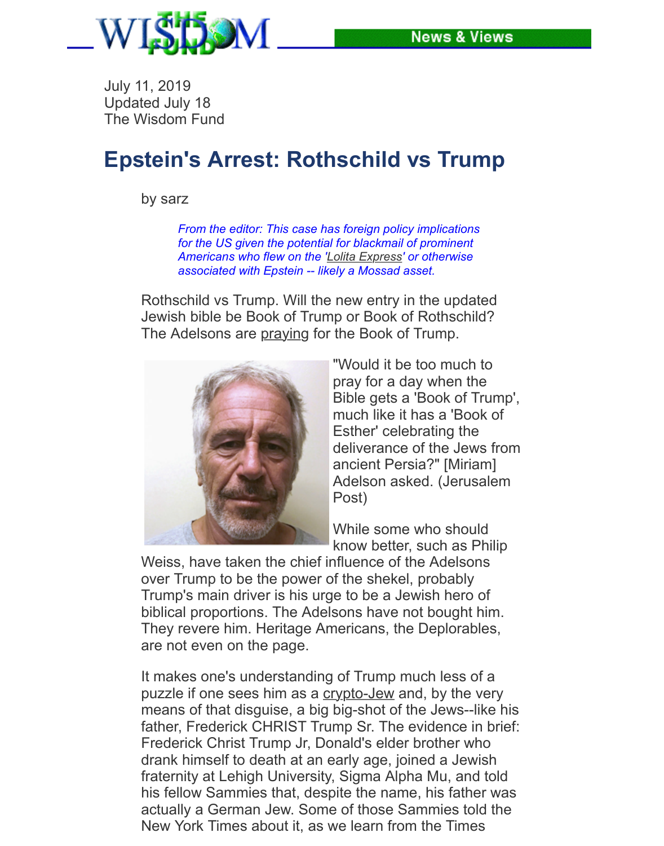## **[Epstein's Arrest: Rothschild vs Trump](file:///Users/emasud/Documents/TWF/News/News2019.html)**

by sarz

*From the editor: This case has foreign policy implications for the US given the potential for blackmail of prominent Americans who flew on the 'Lolita Express' or otherwise associated with Epstein -- likely a Mossad asset.*

Rothschild vs Trump. Will the new entry in the updated Jewish bible be Book of Trump or Book of Rothschild? The Adelsons are praying for the Book of Trump.



["Would it b](https://www.thecut.com/2019/07/jeffrey-epstein-lolita-express.html)e too much to pray for a day when the Bible gets a 'Book of Trump', much like it has a 'Book of Esther' celebrating the deliverance of the Jews from ancient Persia?" [Miriam] Adelson asked. (Jerusalem Post)

While some who should know better, such as Philip

Weiss, have taken the chief influence of the Adelsons over Trump to be the power of the shekel, probably Trump's main driver is his urge to be a Jewish hero of biblical proportions. The Adelsons have not bought him. They revere him. Heritage Americans, the Deplorables, are not even on the page.

It makes one's understanding of Trump much less of a puzzle if one sees him as a crypto-Jew and, by the very means of that disguise, a big big-shot of the Jews--like his father, Frederick CHRIST Trump Sr. The evidence in brief: Frederick Christ Trump Jr, Donald's elder brother who drank himself to death at an early age, joined a Jewish fraternity at Lehigh University, Sigma Alpha Mu, and told his fellow Sammies that, despite the name, his father was actually a German Jew. So[me of those](https://www.myjewishlearning.com/article/crypto-jews/) Sammies told the New York Times about it, as we learn from the Times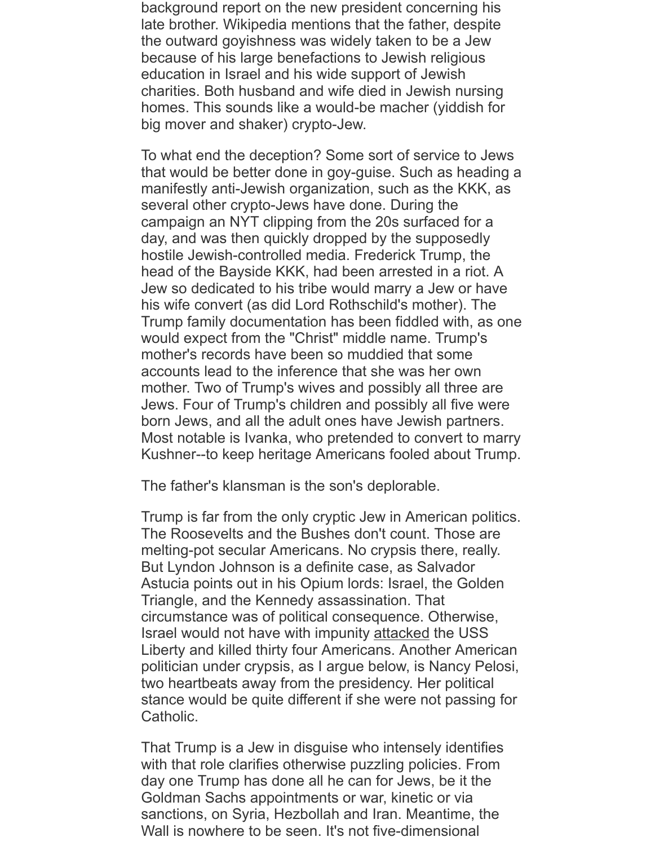big mover and shaker) crypto-Jew.

To what end the deception? Some sort of service to Jews that would be better done in goy-guise. Such as heading a manifestly anti-Jewish organization, such as the KKK, as several other crypto-Jews have done. During the campaign an NYT clipping from the 20s surfaced for a day, and was then quickly dropped by the supposedly hostile Jewish-controlled media. Frederick Trump, the head of the Bayside KKK, had been arrested in a riot. A Jew so dedicated to his tribe would marry a Jew or have his wife convert (as did Lord Rothschild's mother). The Trump family documentation has been fiddled with, as one would expect from the "Christ" middle name. Trump's mother's records have been so muddied that some accounts lead to the inference that she was her own mother. Two of Trump's wives and possibly all three are Jews. Four of Trump's children and possibly all five were born Jews, and all the adult ones have Jewish partners. Most notable is Ivanka, who pretended to convert to marry Kushner--to keep heritage Americans fooled about Trump.

The father's klansman is the son's deplorable.

Trump is far from the only cryptic Jew in American politics. The Roosevelts and the Bushes don't count. Those are melting-pot secular Americans. No crypsis there, really. But Lyndon Johnson is a definite case, as Salvador Astucia points out in his Opium lords: Israel, the Golden Triangle, and the Kennedy assassination. That circumstance was of political consequence. Otherwise, Israel would not have with impunity attacked the USS Liberty and killed thirty four Americans. Another American politician under crypsis, as I argue below, is Nancy Pelosi, two heartbeats away from the presidency. Her political stance would be quite different if she were not passing for Catholic.

That Trump is a Jew in disguise wh[o intense](file:///Users/emasud/Documents/TWF/News/Y2013/0608-USSLiberty.html)ly identifies with that role clarifies otherwise puzzling policies. From day one Trump has done all he can for Jews, be it the Goldman Sachs appointments or war, kinetic or via sanctions, on Syria, Hezbollah and Iran. Meantime, the Wall is nowhere to be seen. It's not five-dimensional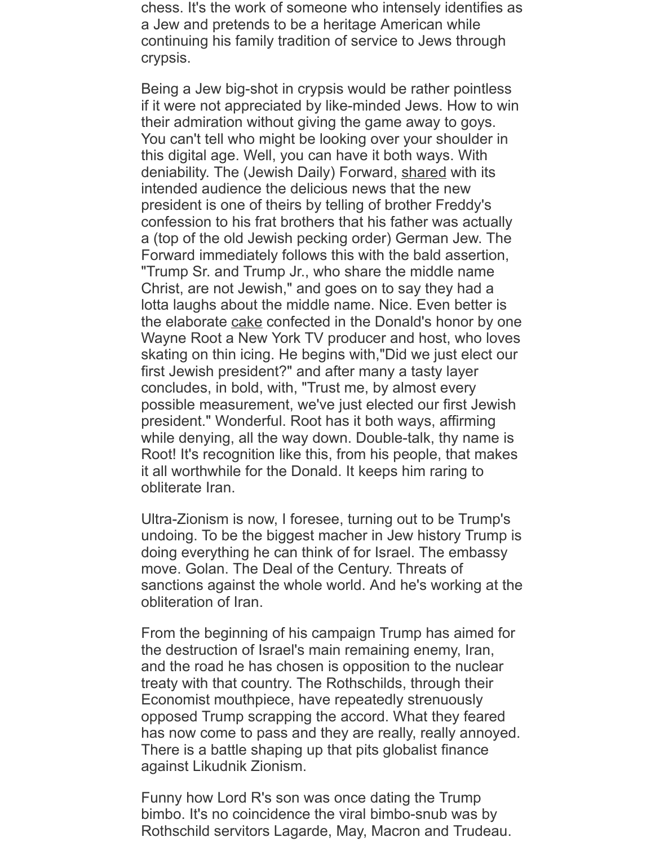their admiration without giving the game away to goys. You can't tell who might be looking over your shoulder in this digital age. Well, you can have it both ways. With deniability. The (Jewish Daily) Forward, shared with its intended audience the delicious news that the new president is one of theirs by telling of brother Freddy's confession to his frat brothers that his father was actually a (top of the old Jewish pecking order) German Jew. The Forward immediately follows this with the bald assertion, "Trump Sr. and Trump Jr., who share the middle name Christ, are not Jewish," and goes on to [say they](https://forward.com/news/346731/trumps-brother-rebelled-against-their-authoritarian-father-by-joining-a-jew/) had a lotta laughs about the middle name. Nice. Even better is the elaborate cake confected in the Donald's honor by one Wayne Root a New York TV producer and host, who loves skating on thin icing. He begins with,"Did we just elect our first Jewish president?" and after many a tasty layer concludes, in bold, with, "Trust me, by almost every possible measurement, we've just elected our first Jewish president." Wonderful. Root has it both ways, affirming while denying[, all th](https://www.foxnews.com/opinion/trump-is-headed-to-the-white-house-did-we-just-elect-our-first-jewish-president)e way down. Double-talk, thy name is Root! It's recognition like this, from his people, that makes it all worthwhile for the Donald. It keeps him raring to obliterate Iran.

Ultra-Zionism is now, I foresee, turning out to be Trump's undoing. To be the biggest macher in Jew history Trump is doing everything he can think of for Israel. The embassy move. Golan. The Deal of the Century. Threats of sanctions against the whole world. And he's working at the obliteration of Iran.

From the beginning of his campaign Trump has aimed for the destruction of Israel's main remaining enemy, Iran, and the road he has chosen is opposition to the nuclear treaty with that country. The Rothschilds, through their Economist mouthpiece, have repeatedly strenuously opposed Trump scrapping the accord. What they feared has now come to pass and they are really, really annoyed. There is a battle shaping up that pits globalist finance against Likudnik Zionism.

Funny how Lord R's son was once dating the Trump bimbo. It's no coincidence the viral bimbo-snub was by Rothschild servitors Lagarde, May, Macron and Trudeau.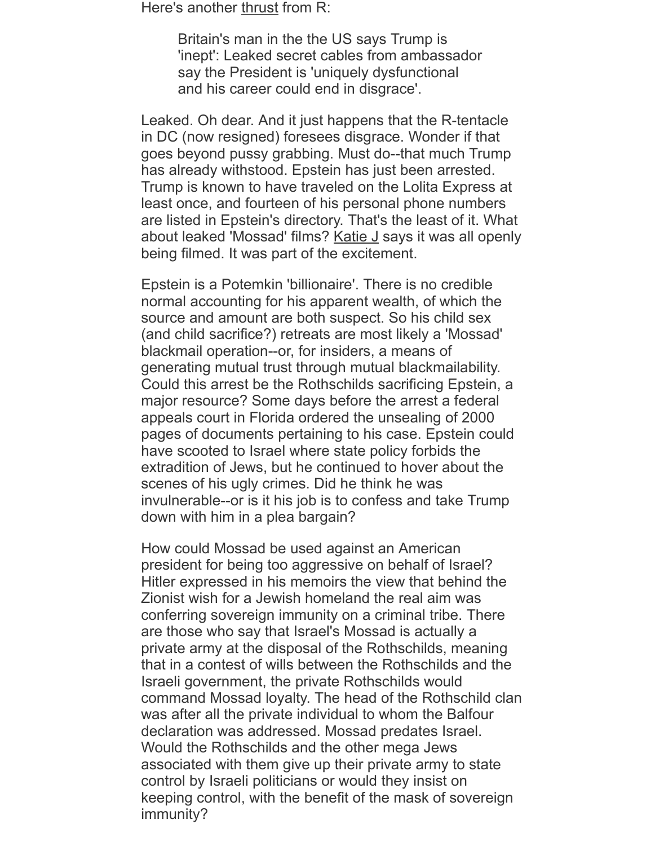Leaked. Oh de[ar. And](https://www.dailymail.co.uk/news/article-7220335/Britains-man-says-Trump-inept-Cables-ambassador-say-dysfunctional.html) it just happens that the R-tentacle in DC (now resigned) foresees disgrace. Wonder if that goes beyond pussy grabbing. Must do--that much Trump has already withstood. Epstein has just been arrested. Trump is known to have traveled on the Lolita Express at least once, and fourteen of his personal phone numbers are listed in Epstein's directory. That's the least of it. What about leaked 'Mossad' films? Katie J says it was all openly being filmed. It was part of the excitement.

Epstein is a Potemkin 'billionaire'. There is no credible normal accounting for his apparent wealth, of which the source and amount are both suspect. So his child sex (and child sacrifice?) retreats are most likely a 'Mossad' blackmail operation--or, for in[siders, a](file:///Users/emasud/Documents/TWF/News/News2019.html) means of generating mutual trust through mutual blackmailability. Could this arrest be the Rothschilds sacrificing Epstein, a major resource? Some days before the arrest a federal appeals court in Florida ordered the unsealing of 2000 pages of documents pertaining to his case. Epstein could have scooted to Israel where state policy forbids the extradition of Jews, but he continued to hover about the scenes of his ugly crimes. Did he think he was invulnerable--or is it his job is to confess and take Trump down with him in a plea bargain?

How could Mossad be used against an American president for being too aggressive on behalf of Israel? Hitler expressed in his memoirs the view that behind the Zionist wish for a Jewish homeland the real aim was conferring sovereign immunity on a criminal tribe. There are those who say that Israel's Mossad is actually a private army at the disposal of the Rothschilds, meaning that in a contest of wills between the Rothschilds and the Israeli government, the private Rothschilds would command Mossad loyalty. The head of the Rothschild clan was after all the private individual to whom the Balfour declaration was addressed. Mossad predates Israel. Would the Rothschilds and the other mega Jews associated with them give up their private army to state control by Israeli politicians or would they insist on keeping control, with the benefit of the mask of sovereign immunity?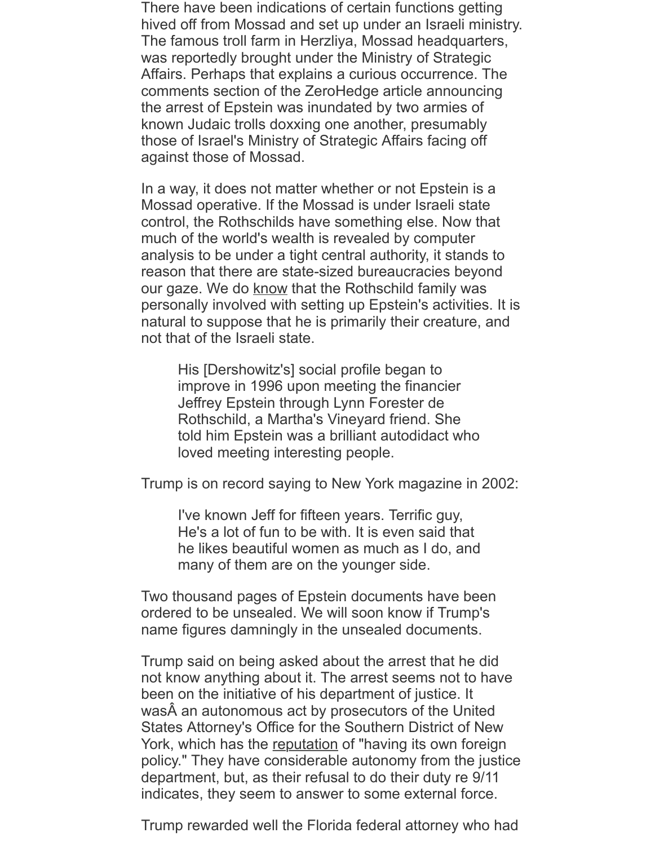known Judaic trolls doxxing one another, presumably those of Israel's Ministry of Strategic Affairs facing off against those of Mossad.

In a way, it does not matter whether or not Epstein is a Mossad operative. If the Mossad is under Israeli state control, the Rothschilds have something else. Now that much of the world's wealth is revealed by computer analysis to be under a tight central authority, it stands to reason that there are state-sized bureaucracies beyond our gaze. We do know that the Rothschild family was personally involved with setting up Epstein's activities. It is natural to suppose that he is primarily their creature, and not that of the Israeli state.

His [Dershowitz's] social profile began to improve in 1996 upon meeting the financier Jeffrey Eps[tein th](https://www.bostonmagazine.com/news/2016/12/11/alan-dershowitz/2/)rough Lynn Forester de Rothschild, a Martha's Vineyard friend. She told him Epstein was a brilliant autodidact who loved meeting interesting people.

Trump is on record saying to New York magazine in 2002:

I've known Jeff for fifteen years. Terrific guy, He's a lot of fun to be with. It is even said that he likes beautiful women as much as I do, and many of them are on the younger side.

Two thousand pages of Epstein documents have been ordered to be unsealed. We will soon know if Trump's name figures damningly in the unsealed documents.

Trump said on being asked about the arrest that he did not know anything about it. The arrest seems not to have been on the initiative of his department of justice. It was A an autonomous act by prosecutors of the United States Attorney's Office for the Southern District of New York, which has the reputation of "having its own foreign policy." They have considerable autonomy from the justice department, but, as their refusal to do their duty re 9/11 indicates, they seem to answer to some external force.

Trump rewarded well the Florida federal attorney who had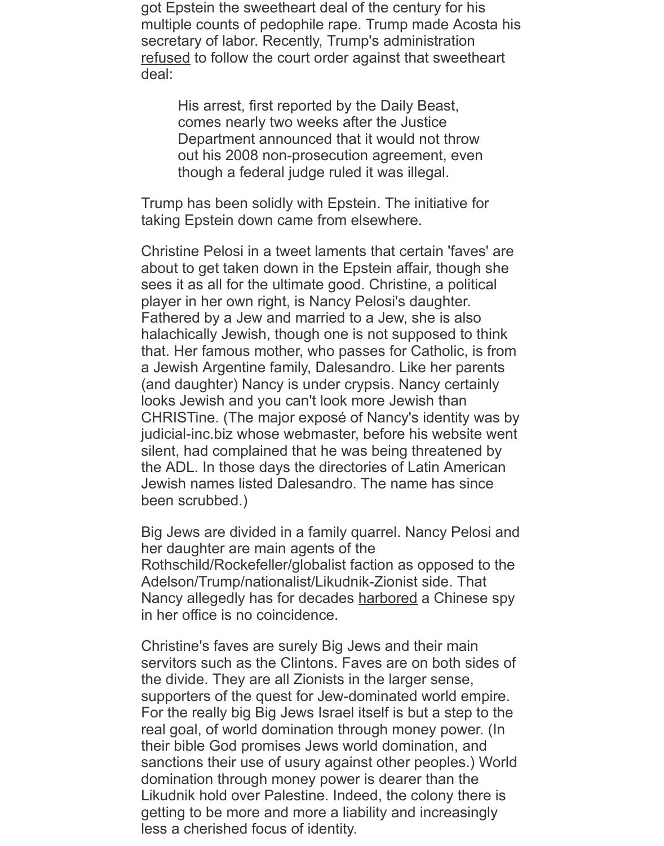comes nearly two weeks after the Justice Department announced that it would not throw out his 2008 non-prosecution agreement, even [th](https://www.miamiherald.com/news/state/florida/article232374872.html)ough a federal judge ruled it was illegal.

Trump has been solidly with Epstein. The initiative for taking Epstein down came from elsewhere.

Christine Pelosi in a tweet laments that certain 'faves' are about to get taken down in the Epstein affair, though she sees it as all for the ultimate good. Christine, a political player in her own right, is Nancy Pelosi's daughter. Fathered by a Jew and married to a Jew, she is also halachically Jewish, though one is not supposed to think that. Her famous mother, who passes for Catholic, is from a Jewish Argentine family, Dalesandro. Like her parents (and daughter) Nancy is under crypsis. Nancy certainly looks Jewish and you can't look more Jewish than CHRISTine. (The major exposé of Nancy's identity was by judicial-inc.biz whose webmaster, before his website went silent, had complained that he was being threatened by the ADL. In those days the directories of Latin American Jewish names listed Dalesandro. The name has since been scrubbed.)

Big Jews are divided in a family quarrel. Nancy Pelosi and her daughter are main agents of the Rothschild/Rockefeller/globalist faction as opposed to the Adelson/Trump/nationalist/Likudnik-Zionist side. That Nancy allegedly has for decades harbored a Chinese spy in her office is no coincidence.

Christine's faves are surely Big Jews and their main servitors such as the Clintons. Faves are on both sides of the divide. They are all Zionists in the larger sense, supporters of the quest for Jew-dominated world empire. For the really big Big Jews Israel [itself is bu](https://www.newsbud.com/2018/02/09/the-rockefellers-and-rothschilds-in-china-a-long-intimate-relationship/)t a step to the real goal, of world domination through money power. (In their bible God promises Jews world domination, and sanctions their use of usury against other peoples.) World domination through money power is dearer than the Likudnik hold over Palestine. Indeed, the colony there is getting to be more and more a liability and increasingly less a cherished focus of identity.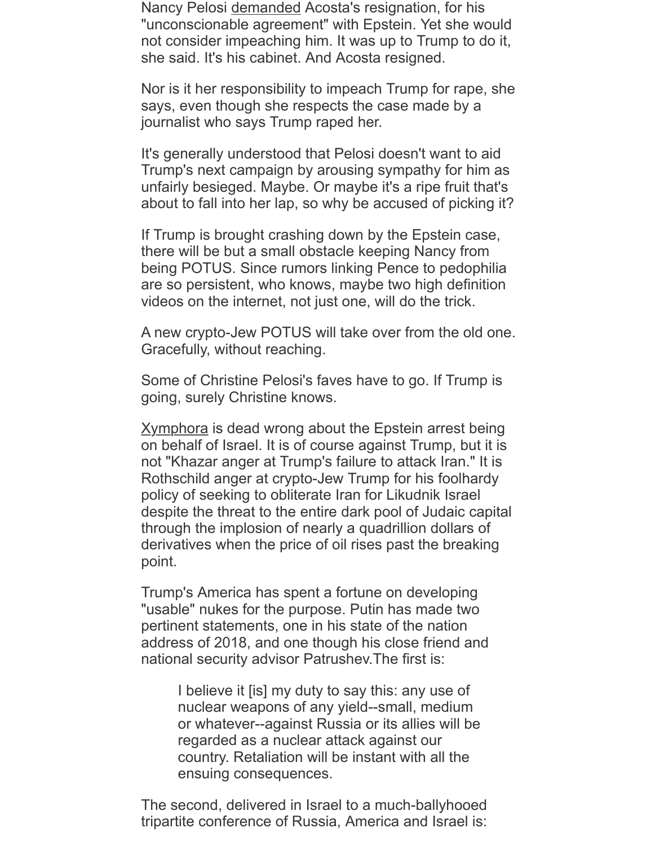journalist who [says Trum](https://www.theatlantic.com/ideas/archive/2019/07/nancy-pelosi-doesnt-want-impeach-acosta-or-trump/593575/)p raped her.

It's generally understood that Pelosi doesn't want to aid Trump's next campaign by arousing sympathy for him as unfairly besieged. Maybe. Or maybe it's a ripe fruit that's about to fall into her lap, so why be accused of picking it?

If Trump is brought crashing down by the Epstein case, there will be but a small obstacle keeping Nancy from being POTUS. Since rumors linking Pence to pedophilia are so persistent, who knows, maybe two high definition videos on the internet, not just one, will do the trick.

A new crypto-Jew POTUS will take over from the old one. Gracefully, without reaching.

Some of Christine Pelosi's faves have to go. If Trump is going, surely Christine knows.

Xymphora is dead wrong about the Epstein arrest being on behalf of Israel. It is of course against Trump, but it is not "Khazar anger at Trump's failure to attack Iran." It is Rothschild anger at crypto-Jew Trump for his foolhardy policy of seeking to obliterate Iran for Likudnik Israel despite the threat to the entire dark pool of Judaic capital through the implosion of nearly a quadrillion dollars of [derivatives](http://xymphora.blogspot.com/2019/07/epstein-ii-return-to-orgy-island.html?m=1) when the price of oil rises past the breaking point.

Trump's America has spent a fortune on developing "usable" nukes for the purpose. Putin has made two pertinent statements, one in his state of the nation address of 2018, and one though his close friend and national security advisor Patrushev.The first is:

> I believe it [is] my duty to say this: any use of nuclear weapons of any yield--small, medium or whatever--against Russia or its allies will be regarded as a nuclear attack against our country. Retaliation will be instant with all the ensuing consequences.

The second, delivered in Israel to a much-ballyhooed tripartite conference of Russia, America and Israel is: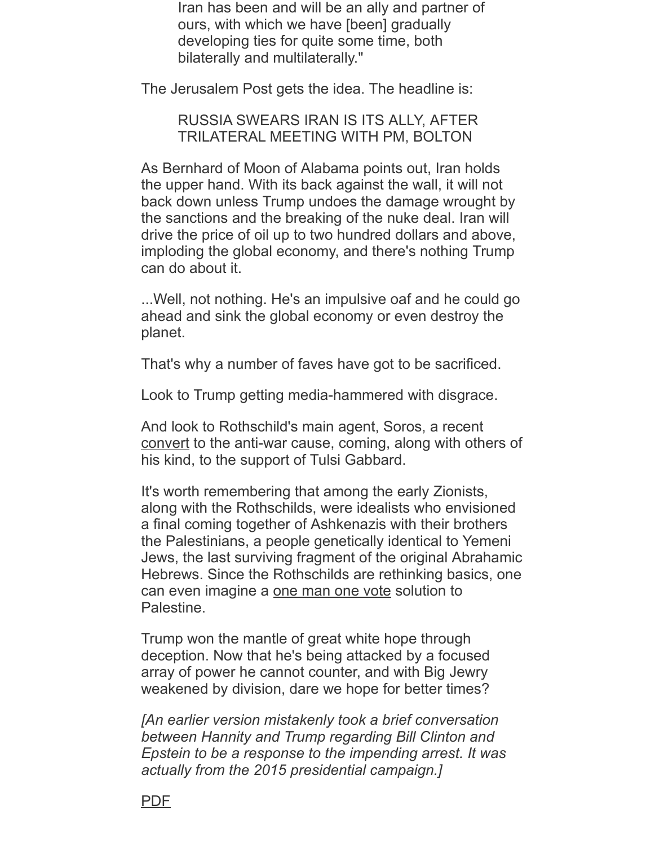## RUSSIA SWEARS IRAN IS ITS ALLY, AFTER TRILATERAL MEETING WITH PM, BOLTON

As Bernhard of Moon of Alabama points out, Iran holds the upper hand. With its back against the wall, it will not back down unless Trump undoes the damage wrought by the sanctions and the breaking of the nuke deal. Iran will drive the price of oil up to two hundred dollars and above, imploding the global economy, and there's nothing Trump can do about it.

...Well, not nothing. He's an impulsive oaf and he could go ahead and sink the global economy or even destroy the planet.

That's why a number of faves have got to be sacrificed.

Look to Trump getting media-hammered with disgrace.

And look to Rothschild's main agent, Soros, a recent convert to the anti-war cause, coming, along with others of his kind, to the support of Tulsi Gabbard.

It's worth remembering that among the early Zionists, along with the Rothschilds, were idealists who envisioned a final coming together of Ashkenazis with their brothers the Palestinians, a people genetically identical to Yemeni [Jews, th](https://www.bostonglobe.com/opinion/2019/06/30/soros-and-koch-brothers-team-end-forever-war-policy/WhyENwjhG0vfo9Um6Zl0JO/story.html?outputType=amp)e last surviving fragment of the original Abrahamic Hebrews. Since the Rothschilds are rethinking basics, one can even imagine a one man one vote solution to Palestine.

Trump won the mantle of great white hope through deception. Now that he's being attacked by a focused array of power he cannot counter, and with Big Jewry weakened by division, dare we hope for better times?

*[An earlier version [mistakenly took a br](http://www.twf.org/News/Y2010/0903-OneState.html)ief conversation between Hannity and Trump regarding Bill Clinton and Epstein to be a response to the impending arrest. It was actually from the 2015 presidential campaign.]*

## PDF